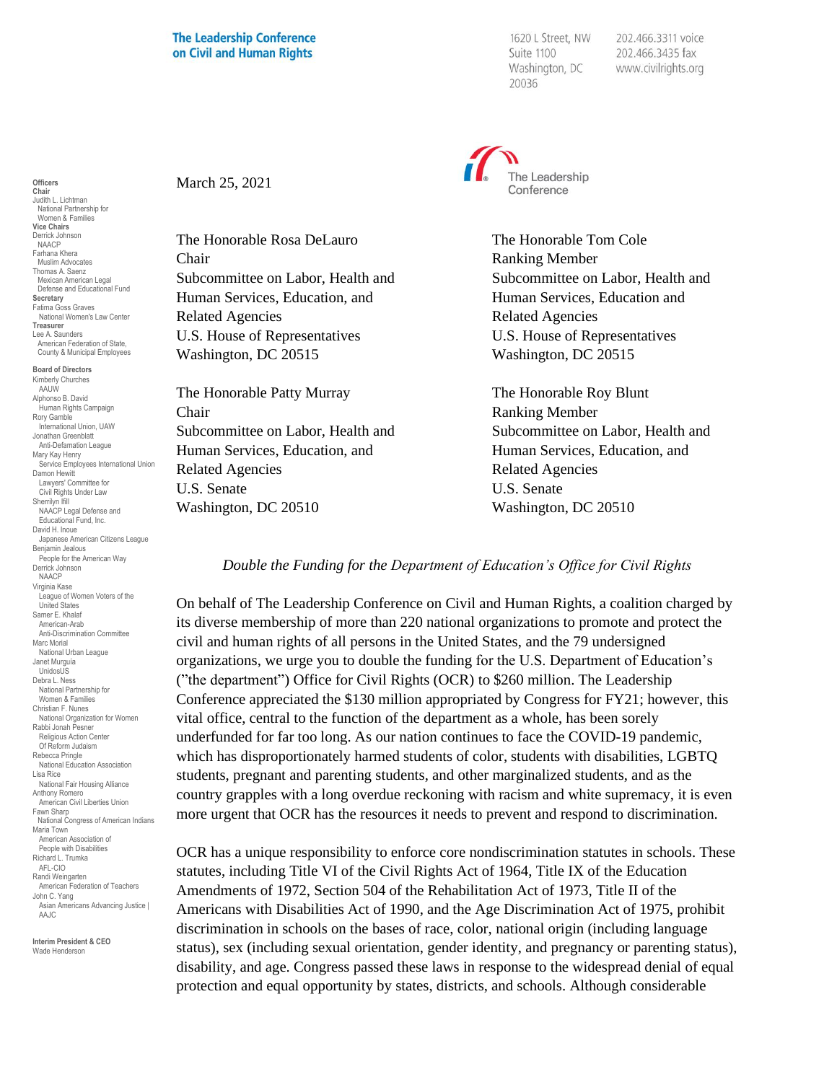## **The Leadership Conference** on Civil and Human Rights

1620 L Street, NW Suite 1100 Washington, DC 20036

202.466.3311 voice 202.466.3435 fax www.civilrights.org



Subcommittee on Labor, Health and Subcommittee on Labor, Health and

Subcommittee on Labor, Health and Subcommittee on Labor, Health and

*Double the Funding for the Department of Education's Office for Civil Rights*

On behalf of The Leadership Conference on Civil and Human Rights, a coalition charged by its diverse membership of more than 220 national organizations to promote and protect the civil and human rights of all persons in the United States, and the 79 undersigned organizations, we urge you to double the funding for the U.S. Department of Education's ("the department") Office for Civil Rights (OCR) to \$260 million. The Leadership Conference appreciated the \$130 million appropriated by Congress for FY21; however, this vital office, central to the function of the department as a whole, has been sorely underfunded for far too long. As our nation continues to face the COVID-19 pandemic, which has disproportionately harmed students of color, students with disabilities, LGBTQ students, pregnant and parenting students, and other marginalized students, and as the country grapples with a long overdue reckoning with racism and white supremacy, it is even more urgent that OCR has the resources it needs to prevent and respond to discrimination.

OCR has a unique responsibility to enforce core nondiscrimination statutes in schools. These statutes, including Title VI of the Civil Rights Act of 1964, Title IX of the Education Amendments of 1972, Section 504 of the Rehabilitation Act of 1973, Title II of the Americans with Disabilities Act of 1990, and the Age Discrimination Act of 1975, prohibit discrimination in schools on the bases of race, color, national origin (including language status), sex (including sexual orientation, gender identity, and pregnancy or parenting status), disability, and age. Congress passed these laws in response to the widespread denial of equal protection and equal opportunity by states, districts, and schools. Although considerable

March 25, 2021

The Honorable Rosa DeLauro The Honorable Tom Cole Chair Ranking Member Human Services, Education, and **Human Services**, Education and Related Agencies Related Agencies U.S. House of Representatives U.S. House of Representatives Washington, DC 20515 Washington, DC 20515

The Honorable Patty Murray The Honorable Roy Blunt Chair Ranking Member Human Services, Education, and Human Services, Education, and Related Agencies Related Agencies U.S. Senate U.S. Senate Washington, DC 20510 Washington, DC 20510

Derrick Johnson NAACP Farhana Khera Muslim Advocates Thomas A. Saenz Mexican American Legal Defense and Educational Fund **Secretary** Fatima Goss Graves National Women's Law Center **Treasurer** Lee A. Saunders American Federation of State, County & Municipal Employees **Board of Directors** Kimberly Churches AAUW Alphonso B. David Human Rights Campaign Rory Gamble International Union, UAW Jonathan Greenblatt Anti-Defamation League Mary Kay Henry Service Employees International Union Damon Hewitt Lawyers' Committee for Civil Rights Under Law Sherrilyn Ifill NAACP Legal Defense and Educational Fund, Inc. David H. Inoue Japanese American Citizens League Benjamin Jealous People for the American Way Derrick Johnson NAACP Virginia Kase League of Women Voters of the United States Samer E. Khalaf American-Arab Anti-Discrimination Committee Marc Morial National Urban League Janet Murguía UnidosUS Debra L. Ness National Partnership for Women & Families Christian F. Nunes National Organization for Women Rabbi Jonah Pesner Religious Action Center Of Reform Judaism Rebecca Pringle National Education Association Lisa Rice National Fair Housing Alliance Anthony Romero American Civil Liberties Union Fawn Sharp National Congress of American Indians Maria Town American Association of People with Disabilities Richard L. Trumka AFL-CIO Randi Weingarten American Federation of Teachers John C. Yang Asian Americans Advancing Justice | AAJC.

**Officers Chair** Judith L. Lichtman National Partnership for Women & Families **Vice Chairs**

**Interim President & CEO** Wade Henderson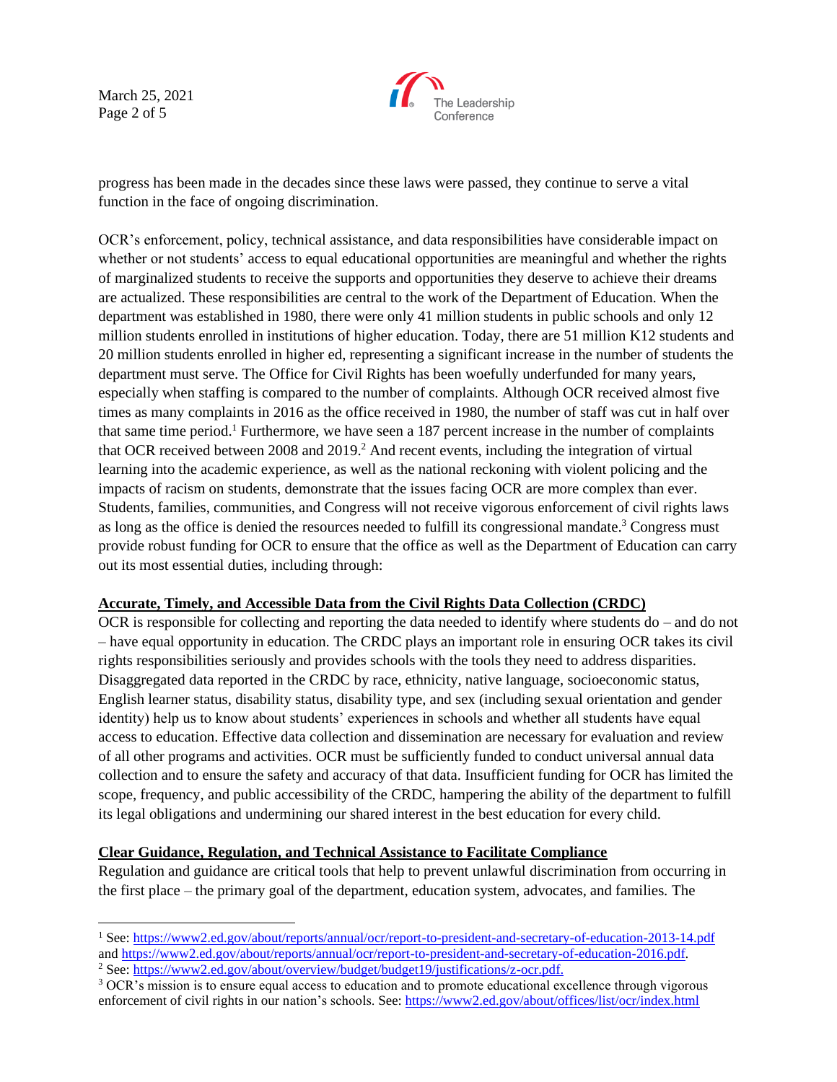March 25, 2021 Page 2 of 5



progress has been made in the decades since these laws were passed, they continue to serve a vital function in the face of ongoing discrimination.

OCR's enforcement, policy, technical assistance, and data responsibilities have considerable impact on whether or not students' access to equal educational opportunities are meaningful and whether the rights of marginalized students to receive the supports and opportunities they deserve to achieve their dreams are actualized. These responsibilities are central to the work of the Department of Education. When the department was established in 1980, there were only 41 million students in public schools and only 12 million students enrolled in institutions of higher education. Today, there are 51 million K12 students and 20 million students enrolled in higher ed, representing a significant increase in the number of students the department must serve. The Office for Civil Rights has been woefully underfunded for many years, especially when staffing is compared to the number of complaints. Although OCR received almost five times as many complaints in 2016 as the office received in 1980, the number of staff was cut in half over that same time period.<sup>1</sup> Furthermore, we have seen a 187 percent increase in the number of complaints that OCR received between 2008 and 2019.<sup>2</sup> And recent events, including the integration of virtual learning into the academic experience, as well as the national reckoning with violent policing and the impacts of racism on students, demonstrate that the issues facing OCR are more complex than ever. Students, families, communities, and Congress will not receive vigorous enforcement of civil rights laws as long as the office is denied the resources needed to fulfill its congressional mandate.<sup>3</sup> Congress must provide robust funding for OCR to ensure that the office as well as the Department of Education can carry out its most essential duties, including through:

## **Accurate, Timely, and Accessible Data from the Civil Rights Data Collection (CRDC)**

OCR is responsible for collecting and reporting the data needed to identify where students do – and do not – have equal opportunity in education. The CRDC plays an important role in ensuring OCR takes its civil rights responsibilities seriously and provides schools with the tools they need to address disparities. Disaggregated data reported in the CRDC by race, ethnicity, native language, socioeconomic status, English learner status, disability status, disability type, and sex (including sexual orientation and gender identity) help us to know about students' experiences in schools and whether all students have equal access to education. Effective data collection and dissemination are necessary for evaluation and review of all other programs and activities. OCR must be sufficiently funded to conduct universal annual data collection and to ensure the safety and accuracy of that data. Insufficient funding for OCR has limited the scope, frequency, and public accessibility of the CRDC, hampering the ability of the department to fulfill its legal obligations and undermining our shared interest in the best education for every child.

## **Clear Guidance, Regulation, and Technical Assistance to Facilitate Compliance**

Regulation and guidance are critical tools that help to prevent unlawful discrimination from occurring in the first place – the primary goal of the department, education system, advocates, and families. The

<sup>1</sup> See:<https://www2.ed.gov/about/reports/annual/ocr/report-to-president-and-secretary-of-education-2013-14.pdf> and [https://www2.ed.gov/about/reports/annual/ocr/report-to-president-and-secretary-of-education-2016.pdf.](https://www2.ed.gov/about/reports/annual/ocr/report-to-president-and-secretary-of-education-2016.pdf) 

<sup>2</sup> See: [https://www2.ed.gov/about/overview/budget/budget19/justifications/z-ocr.pdf.](https://www2.ed.gov/about/overview/budget/budget19/justifications/z-ocr.pdf)

<sup>&</sup>lt;sup>3</sup> OCR's mission is to ensure equal access to education and to promote educational excellence through vigorous enforcement of civil rights in our nation's schools. See[: https://www2.ed.gov/about/offices/list/ocr/index.html](https://www2.ed.gov/about/offices/list/ocr/index.html)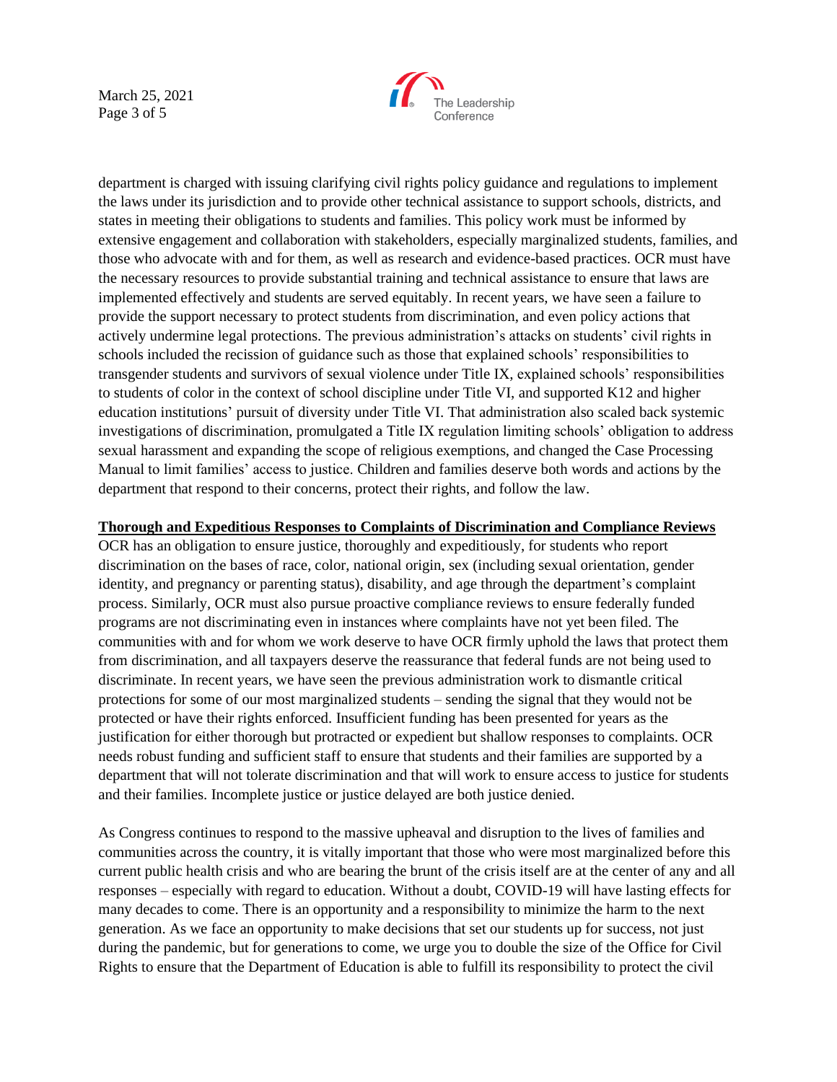March 25, 2021 Page 3 of 5



department is charged with issuing clarifying civil rights policy guidance and regulations to implement the laws under its jurisdiction and to provide other technical assistance to support schools, districts, and states in meeting their obligations to students and families. This policy work must be informed by extensive engagement and collaboration with stakeholders, especially marginalized students, families, and those who advocate with and for them, as well as research and evidence-based practices. OCR must have the necessary resources to provide substantial training and technical assistance to ensure that laws are implemented effectively and students are served equitably. In recent years, we have seen a failure to provide the support necessary to protect students from discrimination, and even policy actions that actively undermine legal protections. The previous administration's attacks on students' civil rights in schools included the recission of guidance such as those that explained schools' responsibilities to transgender students and survivors of sexual violence under Title IX, explained schools' responsibilities to students of color in the context of school discipline under Title VI, and supported K12 and higher education institutions' pursuit of diversity under Title VI. That administration also scaled back systemic investigations of discrimination, promulgated a Title IX regulation limiting schools' obligation to address sexual harassment and expanding the scope of religious exemptions, and changed the Case Processing Manual to limit families' access to justice. Children and families deserve both words and actions by the department that respond to their concerns, protect their rights, and follow the law.

## **Thorough and Expeditious Responses to Complaints of Discrimination and Compliance Reviews**

OCR has an obligation to ensure justice, thoroughly and expeditiously, for students who report discrimination on the bases of race, color, national origin, sex (including sexual orientation, gender identity, and pregnancy or parenting status), disability, and age through the department's complaint process. Similarly, OCR must also pursue proactive compliance reviews to ensure federally funded programs are not discriminating even in instances where complaints have not yet been filed. The communities with and for whom we work deserve to have OCR firmly uphold the laws that protect them from discrimination, and all taxpayers deserve the reassurance that federal funds are not being used to discriminate. In recent years, we have seen the previous administration work to dismantle critical protections for some of our most marginalized students – sending the signal that they would not be protected or have their rights enforced. Insufficient funding has been presented for years as the justification for either thorough but protracted or expedient but shallow responses to complaints. OCR needs robust funding and sufficient staff to ensure that students and their families are supported by a department that will not tolerate discrimination and that will work to ensure access to justice for students and their families. Incomplete justice or justice delayed are both justice denied.

As Congress continues to respond to the massive upheaval and disruption to the lives of families and communities across the country, it is vitally important that those who were most marginalized before this current public health crisis and who are bearing the brunt of the crisis itself are at the center of any and all responses – especially with regard to education. Without a doubt, COVID-19 will have lasting effects for many decades to come. There is an opportunity and a responsibility to minimize the harm to the next generation. As we face an opportunity to make decisions that set our students up for success, not just during the pandemic, but for generations to come, we urge you to double the size of the Office for Civil Rights to ensure that the Department of Education is able to fulfill its responsibility to protect the civil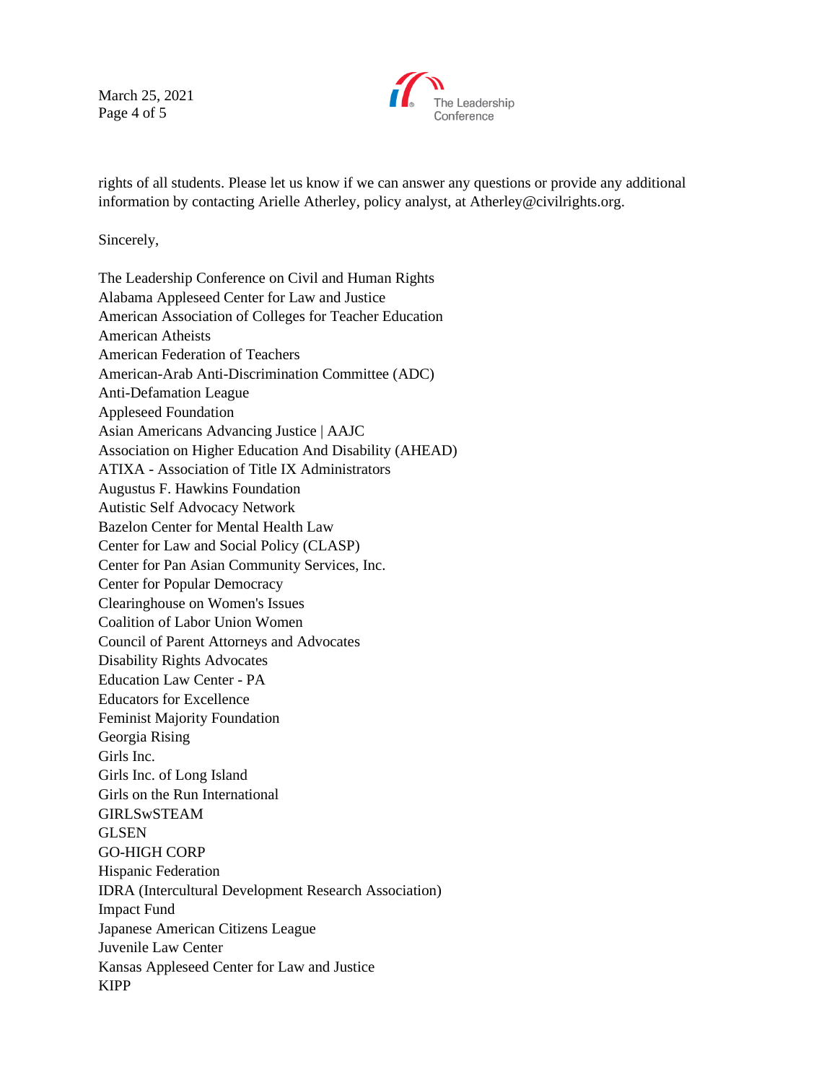March 25, 2021 Page 4 of 5



rights of all students. Please let us know if we can answer any questions or provide any additional information by contacting Arielle Atherley, policy analyst, at Atherley@civilrights.org.

Sincerely,

| The Leadership Conference on Civil and Human Rights          |
|--------------------------------------------------------------|
| Alabama Appleseed Center for Law and Justice                 |
| American Association of Colleges for Teacher Education       |
| <b>American Atheists</b>                                     |
| American Federation of Teachers                              |
| American-Arab Anti-Discrimination Committee (ADC)            |
| <b>Anti-Defamation League</b>                                |
| <b>Appleseed Foundation</b>                                  |
| Asian Americans Advancing Justice   AAJC                     |
| Association on Higher Education And Disability (AHEAD)       |
| <b>ATIXA - Association of Title IX Administrators</b>        |
| Augustus F. Hawkins Foundation                               |
| <b>Autistic Self Advocacy Network</b>                        |
| Bazelon Center for Mental Health Law                         |
| Center for Law and Social Policy (CLASP)                     |
| Center for Pan Asian Community Services, Inc.                |
| <b>Center for Popular Democracy</b>                          |
| Clearinghouse on Women's Issues                              |
| <b>Coalition of Labor Union Women</b>                        |
| Council of Parent Attorneys and Advocates                    |
| <b>Disability Rights Advocates</b>                           |
| <b>Education Law Center - PA</b>                             |
| <b>Educators for Excellence</b>                              |
| <b>Feminist Majority Foundation</b>                          |
| Georgia Rising                                               |
| Girls Inc.                                                   |
| Girls Inc. of Long Island                                    |
| Girls on the Run International                               |
| <b>GIRLSwSTEAM</b>                                           |
| <b>GLSEN</b>                                                 |
| <b>GO-HIGH CORP</b>                                          |
| Hispanic Federation                                          |
| <b>IDRA</b> (Intercultural Development Research Association) |
| <b>Impact Fund</b>                                           |
| Japanese American Citizens League                            |
| Juvenile Law Center                                          |
| Kansas Appleseed Center for Law and Justice                  |
| <b>KIPP</b>                                                  |